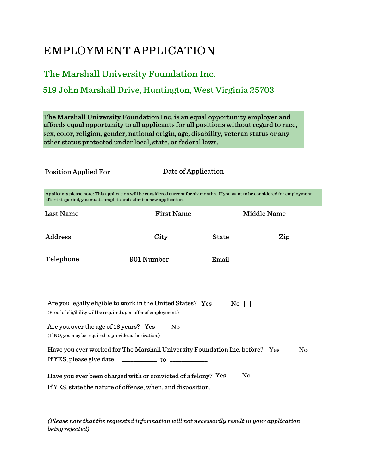# EMPLOYMENT APPLICATION

## The Marshall University Foundation Inc.

### 519 John Marshall Drive, Huntington, West Virginia 25703

affords equal opportunity to all applicants for all positions without regard to race, sex, color, religion, gender, national origin, age, disability, veteran status or any other status protected under local, state, or federal laws. The Marshall University Foundation Inc. is an equal opportunity employer and

Position Applied For

Date of Application

| Applicants please note: This application will be considered current for six months. If you want to be considered for employment |
|---------------------------------------------------------------------------------------------------------------------------------|
| after this period, you must complete and submit a new application.                                                              |

| Last Name                                                                                                                              | <b>First Name</b>      |              | <b>Middle Name</b> |    |
|----------------------------------------------------------------------------------------------------------------------------------------|------------------------|--------------|--------------------|----|
| Address                                                                                                                                | City                   | <b>State</b> | Zip                |    |
| Telephone                                                                                                                              | 901 Number             | Email        |                    |    |
|                                                                                                                                        |                        |              |                    |    |
| Are you legally eligible to work in the United States? Yes $\Box$<br>(Proof of eligibility will be required upon offer of employment.) |                        | No.          |                    |    |
| Are you over the age of 18 years? Yes<br>(If NO, you may be required to provide authorization.)                                        | $\mathrm{No}\parallel$ |              |                    |    |
| Have you ever worked for The Marshall University Foundation Inc. before? Yes                                                           |                        |              |                    | No |
| Have you ever been charged with or convicted of a felony? Yes $\Box$<br>If YES, state the nature of offense, when, and disposition.    |                        | No.          |                    |    |
|                                                                                                                                        |                        |              |                    |    |

*(Please note that the requested information will not necessarily result in your application being rejected)*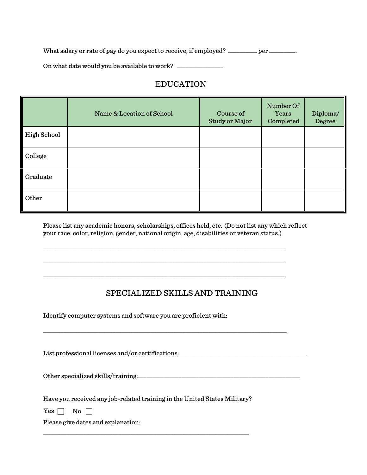What salary or rate of pay do you expect to receive, if employed? \_\_\_\_\_\_\_\_ per \_\_\_\_\_\_\_.

On what date would you be available to work? \_\_\_\_\_\_\_\_\_\_\_\_\_\_\_\_\_\_\_\_\_\_\_\_\_\_\_\_\_\_\_\_\_\_\_

#### EDUCATION

|             | Name & Location of School | Course of<br>Study or Major | Number Of<br>Years<br>Completed | Diploma/<br>Degree |
|-------------|---------------------------|-----------------------------|---------------------------------|--------------------|
| High School |                           |                             |                                 |                    |
| College     |                           |                             |                                 |                    |
| Graduate    |                           |                             |                                 |                    |
| Other       |                           |                             |                                 |                    |

Please list any academic honors, scholarships, offices held, etc. (Do not list any which reflect your race, color, religion, gender, national origin, age, disabilities or veteran status.)

 $\overline{a_1}$  ,  $\overline{a_2}$  ,  $\overline{a_3}$  ,  $\overline{a_4}$  ,  $\overline{a_5}$  ,  $\overline{a_6}$  ,  $\overline{a_7}$  ,  $\overline{a_8}$  ,  $\overline{a_9}$  ,  $\overline{a_9}$  ,  $\overline{a_9}$  ,  $\overline{a_9}$  ,  $\overline{a_9}$  ,  $\overline{a_9}$  ,  $\overline{a_9}$  ,  $\overline{a_9}$  ,  $\overline{a_9}$  ,

 $\overline{a}$  , and the contribution of the contribution of the contribution of the contribution of the contribution of the contribution of the contribution of the contribution of the contribution of the contribution of the co

\_\_\_\_\_\_\_\_\_\_\_\_\_\_\_\_\_\_\_\_\_\_\_\_\_\_\_\_\_\_\_\_\_\_\_\_\_\_\_\_\_\_\_\_\_\_\_\_\_\_\_\_\_\_\_\_\_\_\_\_\_\_\_\_\_\_\_\_\_\_\_\_\_\_\_\_\_\_\_\_\_\_\_\_\_\_\_\_\_\_\_\_

\_\_\_\_\_\_\_\_\_\_\_\_\_\_\_\_\_\_\_\_\_\_\_\_\_\_\_\_\_\_\_\_\_\_\_\_\_\_\_\_\_\_\_\_\_\_\_\_\_\_\_\_\_\_\_\_\_\_\_\_\_\_\_\_\_\_\_\_\_\_\_\_\_\_\_\_\_\_\_\_\_\_\_\_

#### SPECIALIZED SKILLS AND TRAINING

Identify computer systems and software you are proficient with:

List professional licenses and/or certifications:\_\_\_\_\_\_\_\_\_\_\_\_\_\_\_\_\_\_\_\_\_\_\_\_\_\_\_\_\_\_\_

Other specialized skills/training:\_\_\_\_\_\_\_\_\_\_\_\_\_\_\_\_\_\_\_\_\_\_\_\_\_\_\_\_\_\_\_\_\_\_\_\_\_\_\_\_\_\_\_\_\_\_\_\_\_\_\_\_\_\_\_\_

Have you received any job-related training in the United States Military?

\_\_\_\_\_\_\_\_\_\_\_\_\_\_\_\_\_\_\_\_\_\_\_\_\_\_\_\_\_\_\_\_\_\_\_\_\_\_\_\_\_\_\_\_\_\_\_\_\_\_\_\_\_\_\_\_\_\_\_\_\_\_\_\_\_\_\_\_\_\_\_

Yes  $\Box$  No  $\Box$ 

Please give dates and explanation: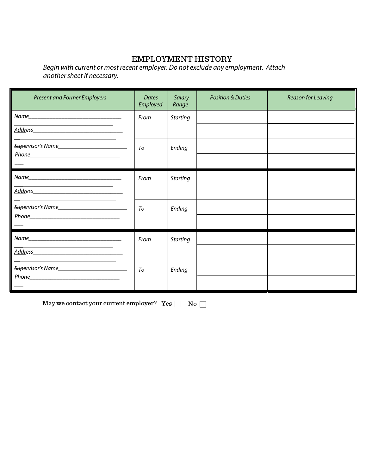#### EMPLOYMENT HISTORY

*Begin with current or most recent employer. Do not exclude any employment. Attach another sheet if necessary.* 

| <b>Present and Former Employers</b> | <b>Dates</b><br>Employed | Salary<br>Range | <b>Position &amp; Duties</b> | <b>Reason for Leaving</b> |
|-------------------------------------|--------------------------|-----------------|------------------------------|---------------------------|
|                                     | From                     | <b>Starting</b> |                              |                           |
|                                     |                          |                 |                              |                           |
|                                     | To                       | Ending          |                              |                           |
|                                     |                          |                 |                              |                           |
|                                     | From                     | <b>Starting</b> |                              |                           |
|                                     |                          |                 |                              |                           |
|                                     | To                       | Ending          |                              |                           |
|                                     |                          |                 |                              |                           |
|                                     | From                     | <b>Starting</b> |                              |                           |
|                                     |                          |                 |                              |                           |
|                                     | To                       | Ending          |                              |                           |
|                                     |                          |                 |                              |                           |

May we contact your current employer? Yes  $\Box$  No  $\Box$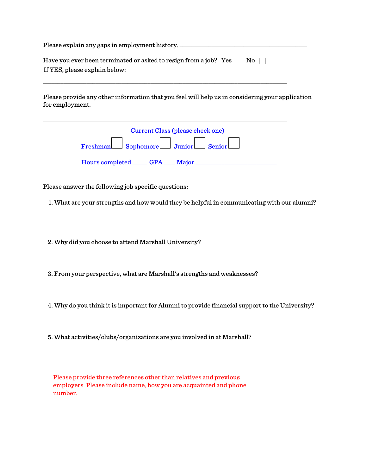| Please explain any gaps in employment history.                                    |
|-----------------------------------------------------------------------------------|
| Have you ever been terminated or asked to resign from a job? Yes $\Box$ No $\Box$ |
| If YES, please explain below:                                                     |

\_\_\_\_\_\_\_\_\_\_\_\_\_\_\_\_\_\_\_\_\_\_\_\_\_\_\_\_\_\_\_\_\_\_\_\_\_\_\_\_\_\_\_\_\_\_\_\_\_\_\_\_\_\_\_\_\_\_\_\_\_\_\_\_\_\_\_\_\_\_\_\_\_\_\_\_\_\_\_\_\_\_\_\_

Please provide any other information that you feel will help us in considering your application for employment.

|                                        | Current Class (please check one) |  |
|----------------------------------------|----------------------------------|--|
| Freshman Sophomore Junior Senior       |                                  |  |
| Hours completed ______ GPA ____ Major_ |                                  |  |

Please answer the following job specific questions:

1. What are your strengths and how would they be helpful in communicating with our alumni?

2. Why did you choose to attend Marshall University?

3. From your perspective, what are Marshall's strengths and weaknesses?

4. Why do you think it is important for Alumni to provide financial support to the University?

5. What activities/clubs/organizations are you involved in at Marshall?

Please provide three references other than relatives and previous employers. Please include name, how you are acquainted and phone number.